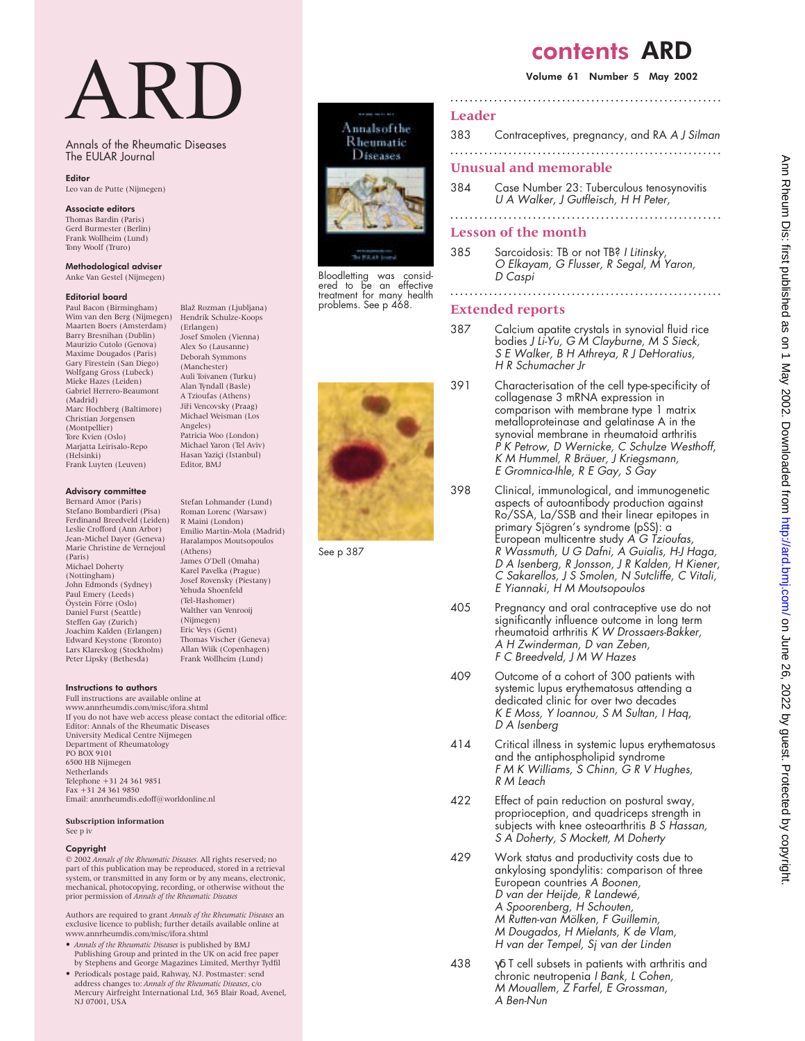# ARD

Annals of the Rheumatic Diseases The EULAR Journal

Blaž Rozman (Ljubljana)

Stefan Lohmander (Lund) Roman Lorenc (Warsaw) R Maini (London) Emilio Martin-Mola (Madrid) Haralampos Moutsopoulos

(Athens) James O'Dell (Omaha) Karel Pavelka (Prague) Josef Rovensky (Piestany) Yehuda Shoenfeld (Tel-Hashomer) Walther van Venrooij (Nijmegen) Eric Veys (Gent) Thomas Vischer (Geneva) Allan Wiik (Copenhagen) Frank Wollheim (Lund)

(Erlangen) Josef Smolen (Vienna) Alex So (Lausanne) Deborah Symmons (Manchester) Auli Toivanen (Turku) Alan Tyndall (Basle) A Tzioufas (Athens) Jiři Vencovsky (Praag) Michael Weisman (Los Angeles) Patricia Woo (London) Michael Yaron (Tel Aviv) Hasan Yaziçi (Istanbul) Editor, BMJ

## Editor

Leo van de Putte (Nijmegen)

#### Associate editors Thomas Bardin (Paris)

Gerd Burmester (Berlin) Frank Wollheim (Lund) Tony Woolf (Truro)

Methodological adviser Anke Van Gestel (Nijmegen)

#### Editorial board

Paul Bacon (Birmingham) Wim van den Berg (Nijmegen) Hendrik Schulze-Koops Maarten Boers (Amsterdam) Barry Bresnihan (Dublin) Maurizio Cutolo (Genova) Maxime Dougados (Paris) Gary Firestein (San Diego) Wolfgang Gross (Lubeck) Mieke Hazes (Leiden) Gabriel Herrero-Beaumont (Madrid) Marc Hochberg (Baltimore) Christian Jorgensen (Montpellier) Tore Kvien (Oslo) Marjatta Leirisalo-Repo (Helsinki) Frank Luyten (Leuven)

## Advisory committee

Bernard Amor (Paris) Stefano Bombardieri (Pisa) Ferdinand Breedveld (Leiden) Leslie Crofford (Ann Arbor) Jean-Michel Dayer (Geneva) Marie Christine de Vernejoul (Paris) Michael Doherty (Nottingham) John Edmonds (Sydney) Paul Emery (Leeds) Öystein Förre (Oslo) Daniel Furst (Seattle) Steffen Gay (Zurich) Joachim Kalden (Erlangen) Edward Keystone (Toronto) Lars Klareskog (Stockholm) Peter Lipsky (Bethesda)

#### Instructions to authors

Full instructions are available online at www.annrheumdis.com/misc/ifora.shtml If you do not have web access please contact the editorial office: Editor: Annals of the Rheumatic Diseases University Medical Centre Nijmegen Department of Rheumatology PO BOX 9101 6500 HB Nijmegen Netherlands Telephone +31 24 361 9851 Fax +31 24 361 9850 Email: annrheumdis.edoff@worldonline.nl

## **Subscription information**

See p iv

## Copyright

© 2002 *Annals of the Rheumatic Diseases.* All rights reserved; no part of this publication may be reproduced, stored in a retrieval system, or transmitted in any form or by any means, electronic, mechanical, photocopying, recording, or otherwise without the prior permission of *Annals of the Rheumatic Diseases*

Authors are required to grant *Annals of the Rheumatic Diseases* an exclusive licence to publish; further details available online at www.annrheumdis.com/misc/ifora.shtml

- *Annals of the Rheumatic Diseases* is published by BMJ Publishing Group and printed in the UK on acid free paper by Stephens and George Magazines Limited, Merthyr Tydfil
- Periodicals postage paid, Rahway, NJ. Postmaster: send address changes to: *Annals of the Rheumatic Diseases*, c/o Mercury Airfreight International Ltd, 365 Blair Road, Avenel, NJ 07001, USA

Annalsofthe Rheumatic Diseases



Bloodletting was consid-ered to be an effective treatment for many health problems. See p 468.



See p 387

# contents ARD

## Volume 61 Number 5 May 2002

## 383 Contraceptives, pregnancy, and RA A J Silman

**........................................................**

**........................................................**

## **Unusual and memorable**

**Leader**

384 Case Number 23: Tuberculous tenosynovitis U A Walker, J Gutfleisch, H H Peter, **........................................................**

## **Lesson of the month**

385 Sarcoidosis: TB or not TB? <sup>I</sup> Litinsky, O Elkayam, G Flusser, <sup>R</sup> Segal, M Yaron, D Caspi

## **Extended reports**

387 Calcium apatite crystals in synovial fluid rice bodies J Li-Yu, G M Clayburne, M S Sieck, S <sup>E</sup> Walker, <sup>B</sup> <sup>H</sup> Athreya, <sup>R</sup> J DeHoratius, H R Schumacher Jr

**........................................................**

- 391 Characterisation of the cell type-specificity of collagenase 3 mRNA expression in comparison with membrane type 1 matrix metalloproteinase and gelatinase A in the synovial membrane in rheumatoid arthritis P K Petrow, D Wernicke, C Schulze Westhoff, <sup>K</sup> M Hummel, <sup>R</sup> Bräuer, J Kriegsmann, <sup>E</sup> Gromnica-Ihle, <sup>R</sup> <sup>E</sup> Gay, S Gay
- 398 Clinical, immunological, and immunogenetic aspects of autoantibody production against Ro/SSA, La/SSB and their linear epitopes in primary Sjögren's syndrome (pSS): a European multicentre study A G Tzioufas, <sup>R</sup> Wassmuth, <sup>U</sup> G Dafni, A Guialis, H-J Haga, <sup>D</sup> A Isenberg, <sup>R</sup> Jonsson, J <sup>R</sup> Kalden, <sup>H</sup> Kiener, C Sakarellos, J S Smolen, N Sutcliffe, C Vitali, <sup>E</sup> Yiannaki, <sup>H</sup> M Moutsopoulos
- 405 Pregnancy and oral contraceptive use do not significantly influence outcome in long term rheumatoid arthritis K W Drossaers-Bakker, A H Zwinderman, D van Zeben, F C Breedveld, J M W Hazes
- 409 Outcome of a cohort of 300 patients with systemic lupus erythematosus attending a dedicated clinic for over two decades <sup>K</sup> <sup>E</sup> Moss, <sup>Y</sup> Ioannou, S M Sultan, <sup>I</sup> Haq, <sup>D</sup> A Isenberg
- 414 Critical illness in systemic lupus erythematosus and the antiphospholipid syndrome <sup>F</sup> M <sup>K</sup> Williams, S Chinn, G <sup>R</sup> V Hughes, R M Leach
- 422 Effect of pain reduction on postural sway, proprioception, and quadriceps strength in subjects with knee osteoarthritis B S Hassan, S A Doherty, S Mockett, M Doherty
- 429 Work status and productivity costs due to ankylosing spondylitis: comparison of three European countries A Boonen, <sup>D</sup> van der Heijde, <sup>R</sup> Landewé, A Spoorenberg, <sup>H</sup> Schouten, M Rutten-van Mölken, F Guillemin, M Dougados, <sup>H</sup> Mielants, <sup>K</sup> de Vlam, <sup>H</sup> van der Tempel, Sj van der Linden
- 438 γδ T cell subsets in patients with arthritis and chronic neutropenia I Bank, L Cohen, M Mouallem, Z Farfel, E Grossman, A Ben-Nun